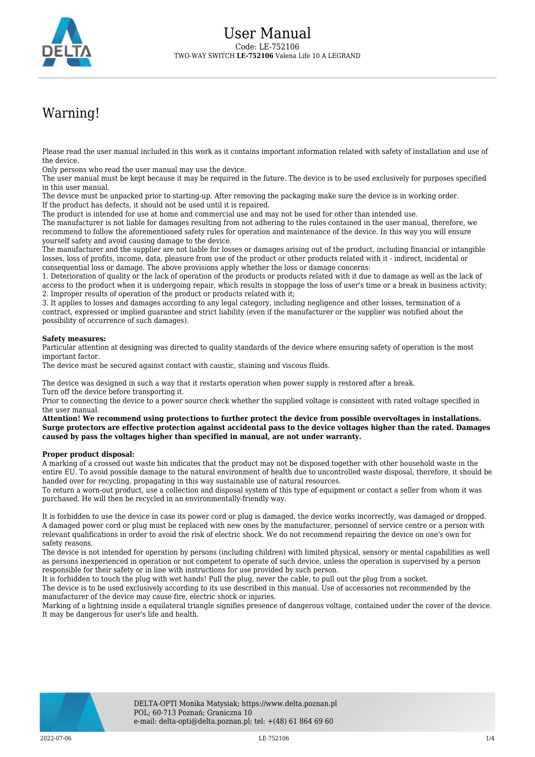

## Warning!

Please read the user manual included in this work as it contains important information related with safety of installation and use of the device.

Only persons who read the user manual may use the device.

The user manual must be kept because it may be required in the future. The device is to be used exclusively for purposes specified in this user manual.

The device must be unpacked prior to starting-up. After removing the packaging make sure the device is in working order. If the product has defects, it should not be used until it is repaired.

The product is intended for use at home and commercial use and may not be used for other than intended use.

The manufacturer is not liable for damages resulting from not adhering to the rules contained in the user manual, therefore, we recommend to follow the aforementioned safety rules for operation and maintenance of the device. In this way you will ensure yourself safety and avoid causing damage to the device.

The manufacturer and the supplier are not liable for losses or damages arising out of the product, including financial or intangible losses, loss of profits, income, data, pleasure from use of the product or other products related with it - indirect, incidental or consequential loss or damage. The above provisions apply whether the loss or damage concerns:

1. Deterioration of quality or the lack of operation of the products or products related with it due to damage as well as the lack of access to the product when it is undergoing repair, which results in stoppage the loss of user's time or a break in business activity; 2. Improper results of operation of the product or products related with it;

3. It applies to losses and damages according to any legal category, including negligence and other losses, termination of a contract, expressed or implied guarantee and strict liability (even if the manufacturer or the supplier was notified about the possibility of occurrence of such damages).

## **Safety measures:**

Particular attention at designing was directed to quality standards of the device where ensuring safety of operation is the most important factor.

The device must be secured against contact with caustic, staining and viscous fluids.

The device was designed in such a way that it restarts operation when power supply is restored after a break. Turn off the device before transporting it.

Prior to connecting the device to a power source check whether the supplied voltage is consistent with rated voltage specified in the user manual.

**Attention! We recommend using protections to further protect the device from possible overvoltages in installations. Surge protectors are effective protection against accidental pass to the device voltages higher than the rated. Damages caused by pass the voltages higher than specified in manual, are not under warranty.**

## **Proper product disposal:**

A marking of a crossed out waste bin indicates that the product may not be disposed together with other household waste in the entire EU. To avoid possible damage to the natural environment of health due to uncontrolled waste disposal, therefore, it should be handed over for recycling, propagating in this way sustainable use of natural resources.

To return a worn-out product, use a collection and disposal system of this type of equipment or contact a seller from whom it was purchased. He will then be recycled in an environmentally-friendly way.

It is forbidden to use the device in case its power cord or plug is damaged, the device works incorrectly, was damaged or dropped. A damaged power cord or plug must be replaced with new ones by the manufacturer, personnel of service centre or a person with relevant qualifications in order to avoid the risk of electric shock. We do not recommend repairing the device on one's own for safety reasons.

The device is not intended for operation by persons (including children) with limited physical, sensory or mental capabilities as well as persons inexperienced in operation or not competent to operate of such device, unless the operation is supervised by a person responsible for their safety or in line with instructions for use provided by such person.

It is forbidden to touch the plug with wet hands! Pull the plug, never the cable, to pull out the plug from a socket.

The device is to be used exclusively according to its use described in this manual. Use of accessories not recommended by the manufacturer of the device may cause fire, electric shock or injuries.

Marking of a lightning inside a equilateral triangle signifies presence of dangerous voltage, contained under the cover of the device. It may be dangerous for user's life and health.

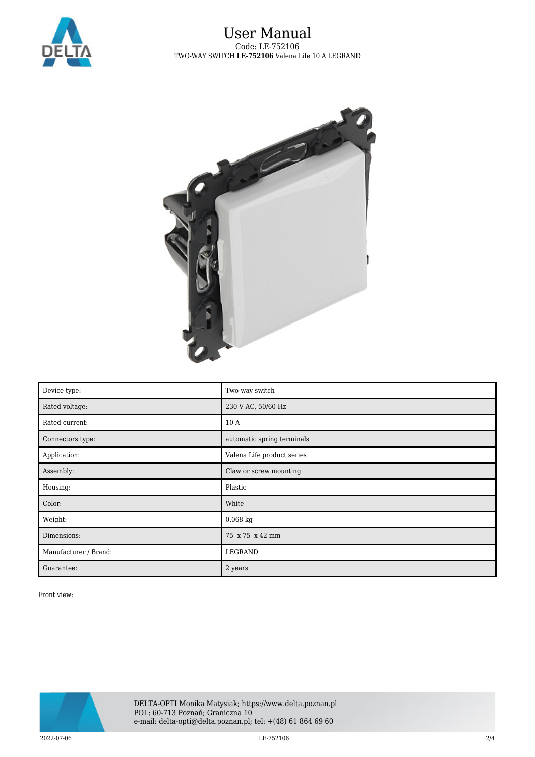



| Device type:          | Two-way switch             |
|-----------------------|----------------------------|
| Rated voltage:        | 230 V AC, 50/60 Hz         |
| Rated current:        | 10 A                       |
| Connectors type:      | automatic spring terminals |
| Application:          | Valena Life product series |
| Assembly:             | Claw or screw mounting     |
| Housing:              | Plastic                    |
| Color:                | White                      |
| Weight:               | $0.068$ kg                 |
| Dimensions:           | 75 x 75 x 42 mm            |
| Manufacturer / Brand: | LEGRAND                    |
| Guarantee:            | 2 years                    |

Front view:

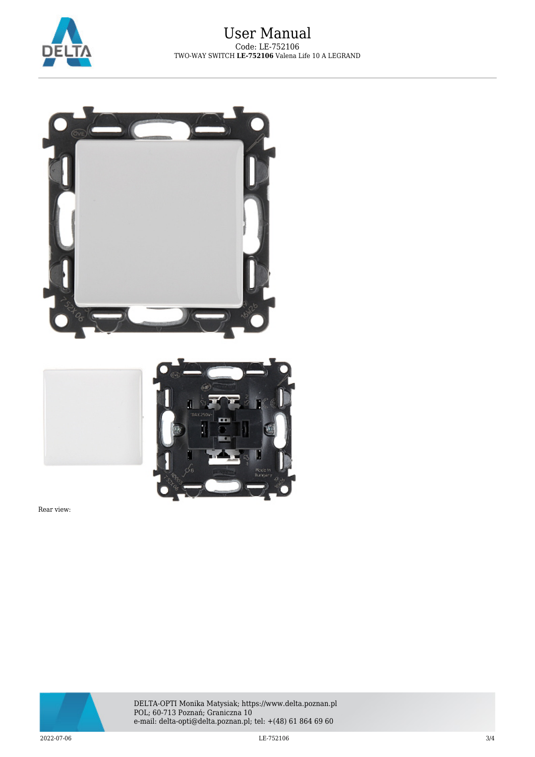



Rear view:



DELTA-OPTI Monika Matysiak; https://www.delta.poznan.pl POL; 60-713 Poznań; Graniczna 10 e-mail: delta-opti@delta.poznan.pl; tel: +(48) 61 864 69 60

 $2022$ -07-06 3/4